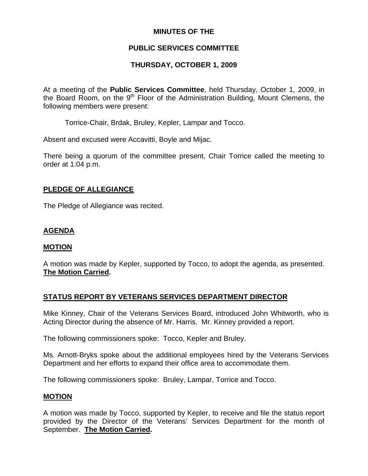# **MINUTES OF THE**

# **PUBLIC SERVICES COMMITTEE**

# **THURSDAY, OCTOBER 1, 2009**

At a meeting of the **Public Services Committee**, held Thursday, October 1, 2009, in the Board Room, on the  $9<sup>th</sup>$  Floor of the Administration Building, Mount Clemens, the following members were present:

Torrice-Chair, Brdak, Bruley, Kepler, Lampar and Tocco.

Absent and excused were Accavitti, Boyle and Mijac.

There being a quorum of the committee present, Chair Torrice called the meeting to order at 1:04 p.m.

## **PLEDGE OF ALLEGIANCE**

The Pledge of Allegiance was recited.

# **AGENDA**

## **MOTION**

A motion was made by Kepler, supported by Tocco, to adopt the agenda, as presented. **The Motion Carried.** 

## **STATUS REPORT BY VETERANS SERVICES DEPARTMENT DIRECTOR**

Mike Kinney, Chair of the Veterans Services Board, introduced John Whitworth, who is Acting Director during the absence of Mr. Harris. Mr. Kinney provided a report.

The following commissioners spoke: Tocco, Kepler and Bruley.

Ms. Arnott-Bryks spoke about the additional employees hired by the Veterans Services Department and her efforts to expand their office area to accommodate them.

The following commissioners spoke: Bruley, Lampar, Torrice and Tocco.

### **MOTION**

A motion was made by Tocco, supported by Kepler, to receive and file the status report provided by the Director of the Veterans' Services Department for the month of September. **The Motion Carried.**